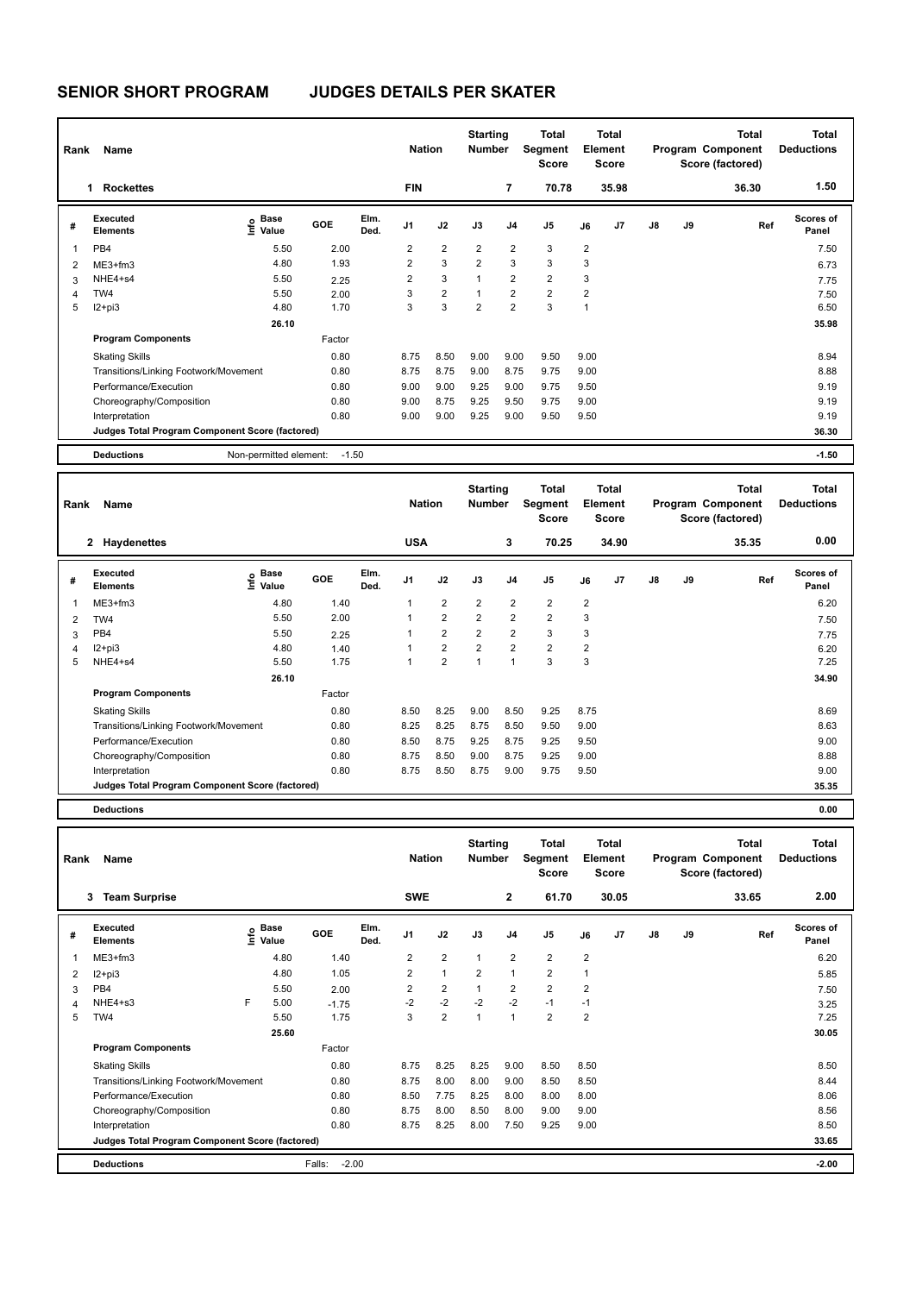## **SENIOR SHORT PROGRAM JUDGES DETAILS PER SKATER**

| Name<br>Rank |                                                 |                                      |         |              |                | <b>Nation</b>           | <b>Starting</b><br><b>Number</b> |                | <b>Total</b><br>Segment<br><b>Score</b> | <b>Total</b><br>Element<br><b>Score</b> |                |               |    | <b>Total</b><br>Program Component<br>Score (factored) | <b>Total</b><br><b>Deductions</b> |  |
|--------------|-------------------------------------------------|--------------------------------------|---------|--------------|----------------|-------------------------|----------------------------------|----------------|-----------------------------------------|-----------------------------------------|----------------|---------------|----|-------------------------------------------------------|-----------------------------------|--|
|              | <b>Rockettes</b><br>1                           |                                      |         |              | <b>FIN</b>     |                         |                                  | 7              | 70.78                                   |                                         | 35.98          |               |    | 36.30                                                 | 1.50                              |  |
| #            | Executed<br><b>Elements</b>                     | Base<br>e <sup>Base</sup><br>⊆ Value | GOE     | Elm.<br>Ded. | J <sub>1</sub> | J2                      | J3                               | J <sub>4</sub> | J5                                      | J6                                      | J <sub>7</sub> | $\mathsf{J}8$ | J9 | Ref                                                   | <b>Scores of</b><br>Panel         |  |
|              | PB4                                             | 5.50                                 | 2.00    |              | 2              | $\overline{\mathbf{c}}$ | $\overline{2}$                   | $\overline{2}$ | 3                                       | $\overline{2}$                          |                |               |    |                                                       | 7.50                              |  |
| 2            | ME3+fm3                                         | 4.80                                 | 1.93    |              | $\overline{2}$ | 3                       | $\overline{2}$                   | 3              | 3                                       | 3                                       |                |               |    |                                                       | 6.73                              |  |
| 3            | NHE4+s4                                         | 5.50                                 | 2.25    |              | $\overline{2}$ | 3                       | 1                                | $\overline{2}$ | $\overline{2}$                          | 3                                       |                |               |    |                                                       | 7.75                              |  |
| 4            | TW4                                             | 5.50                                 | 2.00    |              | 3              | $\overline{\mathbf{c}}$ | 1                                | $\overline{2}$ | $\overline{2}$                          | $\overline{\mathbf{c}}$                 |                |               |    |                                                       | 7.50                              |  |
| 5            | $12+pi3$                                        | 4.80                                 | 1.70    |              | 3              | 3                       | $\overline{2}$                   | $\overline{2}$ | 3                                       | 1                                       |                |               |    |                                                       | 6.50                              |  |
|              |                                                 | 26.10                                |         |              |                |                         |                                  |                |                                         |                                         |                |               |    |                                                       | 35.98                             |  |
|              | <b>Program Components</b>                       |                                      | Factor  |              |                |                         |                                  |                |                                         |                                         |                |               |    |                                                       |                                   |  |
|              | <b>Skating Skills</b>                           |                                      | 0.80    |              | 8.75           | 8.50                    | 9.00                             | 9.00           | 9.50                                    | 9.00                                    |                |               |    |                                                       | 8.94                              |  |
|              | Transitions/Linking Footwork/Movement           |                                      | 0.80    |              | 8.75           | 8.75                    | 9.00                             | 8.75           | 9.75                                    | 9.00                                    |                |               |    |                                                       | 8.88                              |  |
|              | Performance/Execution                           |                                      | 0.80    |              | 9.00           | 9.00                    | 9.25                             | 9.00           | 9.75                                    | 9.50                                    |                |               |    |                                                       | 9.19                              |  |
|              | Choreography/Composition                        |                                      | 0.80    |              | 9.00           | 8.75                    | 9.25                             | 9.50           | 9.75                                    | 9.00                                    |                |               |    |                                                       | 9.19                              |  |
|              | Interpretation                                  |                                      | 0.80    |              | 9.00           | 9.00                    | 9.25                             | 9.00           | 9.50                                    | 9.50                                    |                |               |    |                                                       | 9.19                              |  |
|              | Judges Total Program Component Score (factored) |                                      |         |              |                |                         |                                  |                |                                         |                                         |                |               |    |                                                       | 36.30                             |  |
|              | <b>Deductions</b>                               | Non-permitted element:               | $-1.50$ |              |                |                         |                                  |                |                                         |                                         |                |               |    |                                                       | $-1.50$                           |  |

|   | Name<br>Rank                                    |                                  |        |              |                | <b>Nation</b>  |                | <b>Total</b><br><b>Starting</b><br><b>Number</b><br>Segment<br>Score |                | <b>Total</b><br>Element<br><b>Score</b> |       |               |    | <b>Total</b><br>Program Component<br>Score (factored) | Total<br><b>Deductions</b> |  |
|---|-------------------------------------------------|----------------------------------|--------|--------------|----------------|----------------|----------------|----------------------------------------------------------------------|----------------|-----------------------------------------|-------|---------------|----|-------------------------------------------------------|----------------------------|--|
|   | 2 Haydenettes                                   |                                  |        |              | <b>USA</b>     |                |                | 3                                                                    | 70.25          |                                         | 34.90 |               |    | 35.35                                                 | 0.00                       |  |
| # | Executed<br><b>Elements</b>                     | <b>Base</b><br>e Base<br>⊆ Value | GOE    | Elm.<br>Ded. | J <sub>1</sub> | J2             | J3             | J <sub>4</sub>                                                       | J5             | J6                                      | J7    | $\mathsf{J}8$ | J9 | Ref                                                   | Scores of<br>Panel         |  |
| 1 | ME3+fm3                                         | 4.80                             | 1.40   |              | 1              | $\overline{2}$ | $\overline{2}$ | $\overline{2}$                                                       | $\overline{2}$ | $\overline{2}$                          |       |               |    |                                                       | 6.20                       |  |
| 2 | TW4                                             | 5.50                             | 2.00   |              | 1              | $\overline{2}$ | $\overline{2}$ | $\overline{2}$                                                       | $\overline{2}$ | 3                                       |       |               |    |                                                       | 7.50                       |  |
| 3 | PB4                                             | 5.50                             | 2.25   |              | 1              | $\overline{2}$ | $\overline{2}$ | $\overline{2}$                                                       | 3              | 3                                       |       |               |    |                                                       | 7.75                       |  |
| 4 | $12+pi3$                                        | 4.80                             | 1.40   |              | 1              | $\overline{2}$ | $\overline{2}$ | $\overline{2}$                                                       | $\overline{2}$ | $\overline{\mathbf{c}}$                 |       |               |    |                                                       | 6.20                       |  |
| 5 | NHE4+s4                                         | 5.50                             | 1.75   |              | 1              | $\overline{2}$ | 1              | $\mathbf{1}$                                                         | 3              | 3                                       |       |               |    |                                                       | 7.25                       |  |
|   |                                                 | 26.10                            |        |              |                |                |                |                                                                      |                |                                         |       |               |    |                                                       | 34.90                      |  |
|   | <b>Program Components</b>                       |                                  | Factor |              |                |                |                |                                                                      |                |                                         |       |               |    |                                                       |                            |  |
|   | <b>Skating Skills</b>                           |                                  | 0.80   |              | 8.50           | 8.25           | 9.00           | 8.50                                                                 | 9.25           | 8.75                                    |       |               |    |                                                       | 8.69                       |  |
|   | Transitions/Linking Footwork/Movement           |                                  | 0.80   |              | 8.25           | 8.25           | 8.75           | 8.50                                                                 | 9.50           | 9.00                                    |       |               |    |                                                       | 8.63                       |  |
|   | Performance/Execution                           |                                  | 0.80   |              | 8.50           | 8.75           | 9.25           | 8.75                                                                 | 9.25           | 9.50                                    |       |               |    |                                                       | 9.00                       |  |
|   | Choreography/Composition                        |                                  | 0.80   |              | 8.75           | 8.50           | 9.00           | 8.75                                                                 | 9.25           | 9.00                                    |       |               |    |                                                       | 8.88                       |  |
|   | Interpretation                                  |                                  | 0.80   |              | 8.75           | 8.50           | 8.75           | 9.00                                                                 | 9.75           | 9.50                                    |       |               |    |                                                       | 9.00                       |  |
|   | Judges Total Program Component Score (factored) |                                  |        |              |                |                |                |                                                                      |                |                                         |       |               |    |                                                       | 35.35                      |  |
|   | <b>Deductions</b>                               |                                  |        |              |                |                |                |                                                                      |                |                                         |       |               |    |                                                       | 0.00                       |  |

|   | Rank<br>Name                                    |      |                      |                   |              |                |                |                | <b>Starting</b><br>Total<br><b>Number</b><br><b>Segment</b><br><b>Score</b> |                | <b>Total</b><br>Element<br><b>Score</b> |                |               |    | <b>Total</b><br>Program Component<br>Score (factored) | <b>Total</b><br><b>Deductions</b> |
|---|-------------------------------------------------|------|----------------------|-------------------|--------------|----------------|----------------|----------------|-----------------------------------------------------------------------------|----------------|-----------------------------------------|----------------|---------------|----|-------------------------------------------------------|-----------------------------------|
|   | 3<br><b>Team Surprise</b>                       |      |                      |                   |              | <b>SWE</b>     |                |                | $\overline{2}$                                                              | 61.70          |                                         | 30.05          |               |    | 33.65                                                 | 2.00                              |
| # | Executed<br><b>Elements</b>                     | lnfo | <b>Base</b><br>Value | GOE               | Elm.<br>Ded. | J <sub>1</sub> | J2             | J3             | J <sub>4</sub>                                                              | J5             | J6                                      | J <sub>7</sub> | $\mathsf{J}8$ | J9 | Ref                                                   | <b>Scores of</b><br>Panel         |
| 1 | ME3+fm3                                         |      | 4.80                 | 1.40              |              | $\overline{2}$ | $\overline{2}$ | $\mathbf{1}$   | $\overline{2}$                                                              | $\overline{2}$ | 2                                       |                |               |    |                                                       | 6.20                              |
| 2 | $12+pi3$                                        |      | 4.80                 | 1.05              |              | $\overline{2}$ | $\overline{1}$ | $\overline{2}$ | 1                                                                           | $\overline{2}$ | 1                                       |                |               |    |                                                       | 5.85                              |
| 3 | PB4                                             |      | 5.50                 | 2.00              |              | 2              | $\overline{2}$ | 1              | $\overline{2}$                                                              | $\overline{2}$ | $\overline{2}$                          |                |               |    |                                                       | 7.50                              |
| 4 | NHE4+s3                                         | F    | 5.00                 | $-1.75$           |              | $-2$           | $-2$           | $-2$           | $-2$                                                                        | $-1$           | -1                                      |                |               |    |                                                       | 3.25                              |
| 5 | TW4                                             |      | 5.50                 | 1.75              |              | 3              | $\overline{2}$ | 1              | 1                                                                           | $\overline{2}$ | $\overline{2}$                          |                |               |    |                                                       | 7.25                              |
|   |                                                 |      | 25.60                |                   |              |                |                |                |                                                                             |                |                                         |                |               |    |                                                       | 30.05                             |
|   | <b>Program Components</b>                       |      |                      | Factor            |              |                |                |                |                                                                             |                |                                         |                |               |    |                                                       |                                   |
|   | <b>Skating Skills</b>                           |      |                      | 0.80              |              | 8.75           | 8.25           | 8.25           | 9.00                                                                        | 8.50           | 8.50                                    |                |               |    |                                                       | 8.50                              |
|   | Transitions/Linking Footwork/Movement           |      |                      | 0.80              |              | 8.75           | 8.00           | 8.00           | 9.00                                                                        | 8.50           | 8.50                                    |                |               |    |                                                       | 8.44                              |
|   | Performance/Execution                           |      |                      | 0.80              |              | 8.50           | 7.75           | 8.25           | 8.00                                                                        | 8.00           | 8.00                                    |                |               |    |                                                       | 8.06                              |
|   | Choreography/Composition                        |      |                      | 0.80              |              | 8.75           | 8.00           | 8.50           | 8.00                                                                        | 9.00           | 9.00                                    |                |               |    |                                                       | 8.56                              |
|   | Interpretation                                  |      |                      | 0.80              |              | 8.75           | 8.25           | 8.00           | 7.50                                                                        | 9.25           | 9.00                                    |                |               |    |                                                       | 8.50                              |
|   | Judges Total Program Component Score (factored) |      |                      |                   |              |                |                |                |                                                                             |                |                                         |                |               |    |                                                       | 33.65                             |
|   | <b>Deductions</b>                               |      |                      | $-2.00$<br>Falls: |              |                |                |                |                                                                             |                |                                         |                |               |    |                                                       | $-2.00$                           |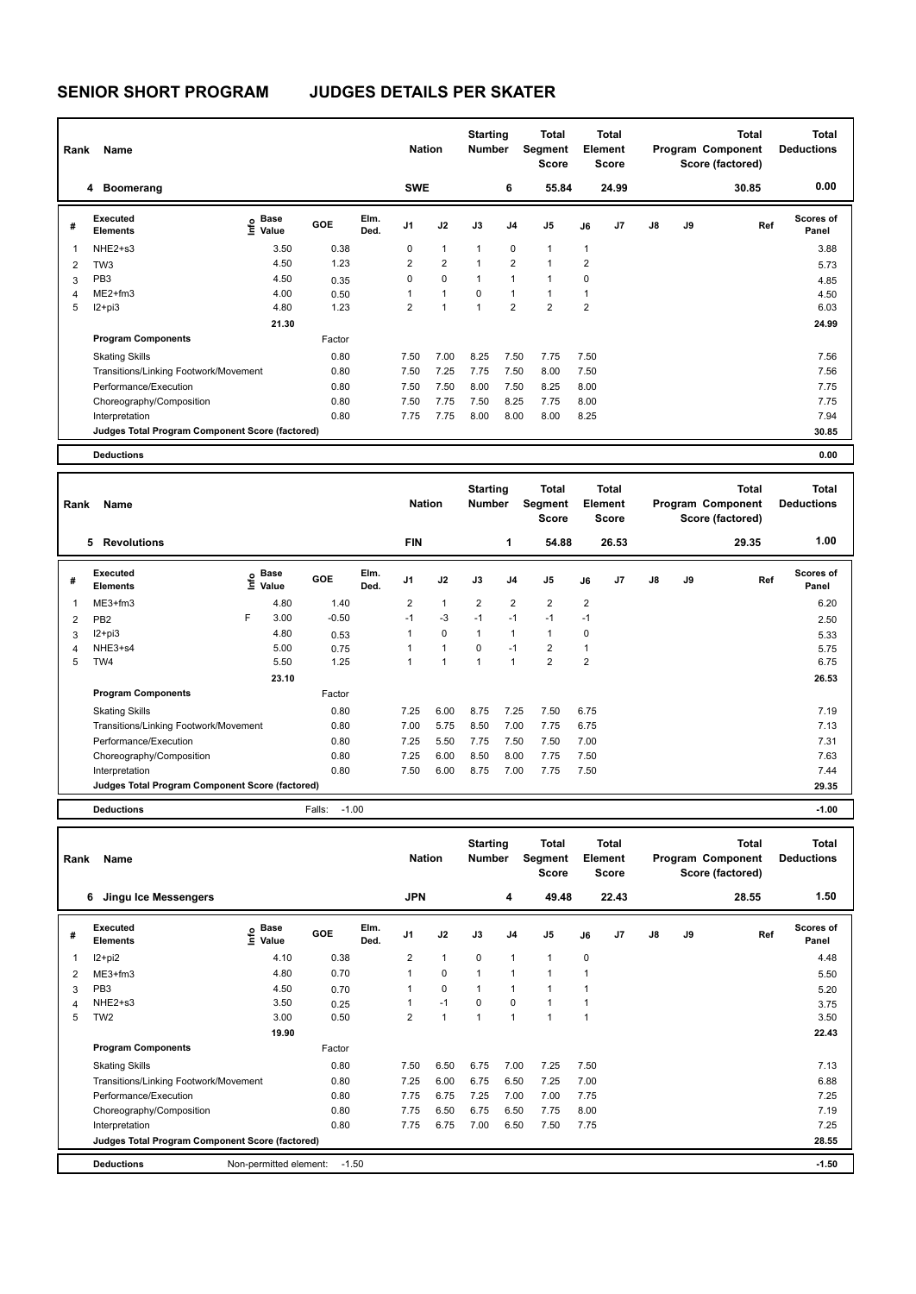## **SENIOR SHORT PROGRAM JUDGES DETAILS PER SKATER**

|   | Name<br>Rank                                    |                                  |        |              |                |                | <b>Starting</b><br><b>Nation</b><br><b>Number</b> |                | Total<br>Segment<br><b>Score</b> | Total<br>Element<br><b>Score</b> |                |               |    | Total<br>Program Component<br>Score (factored) | <b>Total</b><br><b>Deductions</b> |  |
|---|-------------------------------------------------|----------------------------------|--------|--------------|----------------|----------------|---------------------------------------------------|----------------|----------------------------------|----------------------------------|----------------|---------------|----|------------------------------------------------|-----------------------------------|--|
|   | <b>Boomerang</b><br>4                           |                                  |        |              | <b>SWE</b>     |                |                                                   | 6              | 55.84                            |                                  | 24.99          |               |    | 30.85                                          | 0.00                              |  |
| # | Executed<br><b>Elements</b>                     | <b>Base</b><br>e Base<br>⊆ Value | GOE    | Elm.<br>Ded. | J <sub>1</sub> | J2             | J3                                                | J <sub>4</sub> | J <sub>5</sub>                   | J6                               | J <sub>7</sub> | $\mathsf{J}8$ | J9 | Ref                                            | <b>Scores of</b><br>Panel         |  |
| 1 | NHE <sub>2+s3</sub>                             | 3.50                             | 0.38   |              | 0              | 1              | $\mathbf{1}$                                      | 0              | $\mathbf{1}$                     | $\mathbf{1}$                     |                |               |    |                                                | 3.88                              |  |
| 2 | TW <sub>3</sub>                                 | 4.50                             | 1.23   |              | $\overline{2}$ | $\overline{2}$ | $\mathbf{1}$                                      | $\overline{2}$ | $\overline{1}$                   | $\overline{2}$                   |                |               |    |                                                | 5.73                              |  |
| 3 | PB <sub>3</sub>                                 | 4.50                             | 0.35   |              | 0              | $\mathbf 0$    | $\mathbf{1}$                                      | 1              | 1                                | $\mathbf 0$                      |                |               |    |                                                | 4.85                              |  |
| 4 | $ME2+fm3$                                       | 4.00                             | 0.50   |              | 1              | $\mathbf{1}$   | $\Omega$                                          | 1              | $\mathbf{1}$                     |                                  |                |               |    |                                                | 4.50                              |  |
| 5 | $I2 + pi3$                                      | 4.80                             | 1.23   |              | $\overline{2}$ | 1              | $\overline{1}$                                    | $\overline{2}$ | $\overline{2}$                   | $\overline{2}$                   |                |               |    |                                                | 6.03                              |  |
|   |                                                 | 21.30                            |        |              |                |                |                                                   |                |                                  |                                  |                |               |    |                                                | 24.99                             |  |
|   | <b>Program Components</b>                       |                                  | Factor |              |                |                |                                                   |                |                                  |                                  |                |               |    |                                                |                                   |  |
|   | <b>Skating Skills</b>                           |                                  | 0.80   |              | 7.50           | 7.00           | 8.25                                              | 7.50           | 7.75                             | 7.50                             |                |               |    |                                                | 7.56                              |  |
|   | Transitions/Linking Footwork/Movement<br>0.80   |                                  |        |              | 7.50           | 7.25           | 7.75                                              | 7.50           | 8.00                             | 7.50                             |                |               |    |                                                | 7.56                              |  |
|   | Performance/Execution                           |                                  | 0.80   |              | 7.50           | 7.50           | 8.00                                              | 7.50           | 8.25                             | 8.00                             |                |               |    |                                                | 7.75                              |  |
|   | Choreography/Composition                        |                                  | 0.80   |              | 7.50           | 7.75           | 7.50                                              | 8.25           | 7.75                             | 8.00                             |                |               |    |                                                | 7.75                              |  |
|   | Interpretation                                  |                                  | 0.80   |              | 7.75           | 7.75           | 8.00                                              | 8.00           | 8.00                             | 8.25                             |                |               |    |                                                | 7.94                              |  |
|   | Judges Total Program Component Score (factored) |                                  |        |              |                |                |                                                   |                |                                  |                                  |                |               |    |                                                | 30.85                             |  |
|   | <b>Deductions</b>                               |                                  |        |              |                |                |                                                   |                |                                  |                                  |                |               |    |                                                | 0.00                              |  |

| Name<br>Rank             |                                                 |   |                                  |                   |              |                | <b>Nation</b>        |                | <b>Starting</b><br><b>Number</b> | <b>Total</b><br>Segment<br><b>Score</b> | <b>Total</b><br>Element<br><b>Score</b> |                |               |    | <b>Total</b><br>Program Component<br>Score (factored) | Total<br><b>Deductions</b> |
|--------------------------|-------------------------------------------------|---|----------------------------------|-------------------|--------------|----------------|----------------------|----------------|----------------------------------|-----------------------------------------|-----------------------------------------|----------------|---------------|----|-------------------------------------------------------|----------------------------|
|                          | <b>Revolutions</b><br>5                         |   |                                  |                   |              | <b>FIN</b>     |                      |                | 1                                | 54.88                                   |                                         | 26.53          |               |    | 29.35                                                 | 1.00                       |
| #                        | Executed<br><b>Elements</b>                     |   | <b>Base</b><br>o Base<br>⊆ Value | <b>GOE</b>        | Elm.<br>Ded. | J <sub>1</sub> | J2                   | J3             | J <sub>4</sub>                   | J <sub>5</sub>                          | J6                                      | J <sub>7</sub> | $\mathsf{J}8$ | J9 | Ref                                                   | Scores of<br>Panel         |
| $\overline{\phantom{a}}$ | $ME3+fm3$                                       |   | 4.80                             | 1.40              |              | $\overline{2}$ | $\mathbf{1}$         | $\overline{2}$ | $\overline{2}$                   | $\overline{2}$                          | $\overline{2}$                          |                |               |    |                                                       | 6.20                       |
| 2                        | PB <sub>2</sub>                                 | F | 3.00                             | $-0.50$           |              | $-1$           | $-3$                 | $-1$           | $-1$                             | $-1$                                    | $-1$                                    |                |               |    |                                                       | 2.50                       |
| 3                        | $12+pi3$                                        |   | 4.80                             | 0.53              |              | 1              | $\mathbf 0$          | $\mathbf{1}$   | 1                                | 1                                       | 0                                       |                |               |    |                                                       | 5.33                       |
| $\overline{4}$           | NHE3+s4                                         |   | 5.00                             | 0.75              |              |                | $\mathbf{1}$         | 0              | $-1$                             | 2                                       |                                         |                |               |    |                                                       | 5.75                       |
| 5                        | TW4                                             |   | 5.50                             | 1.25              |              | $\overline{ }$ | $\blacktriangleleft$ | $\overline{1}$ | $\mathbf{1}$                     | $\overline{2}$                          | $\overline{2}$                          |                |               |    |                                                       | 6.75                       |
|                          |                                                 |   | 23.10                            |                   |              |                |                      |                |                                  |                                         |                                         |                |               |    |                                                       | 26.53                      |
|                          | <b>Program Components</b>                       |   |                                  | Factor            |              |                |                      |                |                                  |                                         |                                         |                |               |    |                                                       |                            |
|                          | <b>Skating Skills</b>                           |   |                                  | 0.80              |              | 7.25           | 6.00                 | 8.75           | 7.25                             | 7.50                                    | 6.75                                    |                |               |    |                                                       | 7.19                       |
|                          | Transitions/Linking Footwork/Movement           |   |                                  | 0.80              |              | 7.00           | 5.75                 | 8.50           | 7.00                             | 7.75                                    | 6.75                                    |                |               |    |                                                       | 7.13                       |
|                          | Performance/Execution                           |   |                                  | 0.80              |              | 7.25           | 5.50                 | 7.75           | 7.50                             | 7.50                                    | 7.00                                    |                |               |    |                                                       | 7.31                       |
|                          | Choreography/Composition                        |   |                                  | 0.80              |              | 7.25           | 6.00                 | 8.50           | 8.00                             | 7.75                                    | 7.50                                    |                |               |    |                                                       | 7.63                       |
|                          | Interpretation                                  |   |                                  | 0.80              |              | 7.50           | 6.00                 | 8.75           | 7.00                             | 7.75                                    | 7.50                                    |                |               |    |                                                       | 7.44                       |
|                          | Judges Total Program Component Score (factored) |   |                                  |                   |              |                |                      |                |                                  |                                         |                                         |                |               |    |                                                       | 29.35                      |
|                          | <b>Deductions</b>                               |   |                                  | $-1.00$<br>Falls: |              |                |                      |                |                                  |                                         |                                         |                |               |    |                                                       | $-1.00$                    |

| Rank | <b>Name</b>                                     |                              | <b>Nation</b> |              |                | <b>Starting</b><br>Total<br><b>Number</b><br>Segment<br><b>Score</b> |              | <b>Total</b><br>Element<br><b>Score</b> |                | Program Component<br>Score (factored) |                | <b>Total</b>  | <b>Total</b><br><b>Deductions</b> |       |                    |
|------|-------------------------------------------------|------------------------------|---------------|--------------|----------------|----------------------------------------------------------------------|--------------|-----------------------------------------|----------------|---------------------------------------|----------------|---------------|-----------------------------------|-------|--------------------|
|      | 6<br>Jingu Ice Messengers                       |                              |               |              | <b>JPN</b>     |                                                                      |              | 4                                       | 49.48          |                                       | 22.43          |               |                                   | 28.55 | 1.50               |
| #    | Executed<br><b>Elements</b>                     | <b>Base</b><br>١mfo<br>Value | <b>GOE</b>    | Elm.<br>Ded. | J <sub>1</sub> | J2                                                                   | J3           | J <sub>4</sub>                          | J <sub>5</sub> | J6                                    | J <sub>7</sub> | $\mathsf{J}8$ | J9                                | Ref   | Scores of<br>Panel |
| 1    | I2+pi2                                          | 4.10                         | 0.38          |              | $\overline{2}$ | $\overline{1}$                                                       | $\Omega$     | 1                                       | $\mathbf{1}$   | 0                                     |                |               |                                   |       | 4.48               |
| 2    | ME3+fm3                                         | 4.80                         | 0.70          |              | 1              | $\mathbf 0$                                                          | $\mathbf{1}$ | 1                                       | 1              | $\overline{\mathbf{1}}$               |                |               |                                   |       | 5.50               |
| 3    | PB <sub>3</sub>                                 | 4.50                         | 0.70          |              |                | 0                                                                    | 1            | 1                                       | $\mathbf{1}$   |                                       |                |               |                                   |       | 5.20               |
| 4    | NHE <sub>2+s3</sub>                             | 3.50                         | 0.25          |              |                | $-1$                                                                 | 0            | $\Omega$                                | $\mathbf{1}$   |                                       |                |               |                                   |       | 3.75               |
| 5    | TW <sub>2</sub>                                 | 3.00                         | 0.50          |              | $\overline{2}$ | $\overline{1}$                                                       | 1            | 1                                       | $\overline{1}$ | 1                                     |                |               |                                   |       | 3.50               |
|      |                                                 | 19.90                        |               |              |                |                                                                      |              |                                         |                |                                       |                |               |                                   |       | 22.43              |
|      | <b>Program Components</b>                       |                              | Factor        |              |                |                                                                      |              |                                         |                |                                       |                |               |                                   |       |                    |
|      | <b>Skating Skills</b>                           |                              | 0.80          |              | 7.50           | 6.50                                                                 | 6.75         | 7.00                                    | 7.25           | 7.50                                  |                |               |                                   |       | 7.13               |
|      | Transitions/Linking Footwork/Movement           |                              | 0.80          |              | 7.25           | 6.00                                                                 | 6.75         | 6.50                                    | 7.25           | 7.00                                  |                |               |                                   |       | 6.88               |
|      | Performance/Execution                           |                              | 0.80          |              | 7.75           | 6.75                                                                 | 7.25         | 7.00                                    | 7.00           | 7.75                                  |                |               |                                   |       | 7.25               |
|      | Choreography/Composition                        |                              | 0.80          |              | 7.75           | 6.50                                                                 | 6.75         | 6.50                                    | 7.75           | 8.00                                  |                |               |                                   |       | 7.19               |
|      | Interpretation                                  |                              | 0.80          |              | 7.75           | 6.75                                                                 | 7.00         | 6.50                                    | 7.50           | 7.75                                  |                |               |                                   |       | 7.25               |
|      | Judges Total Program Component Score (factored) |                              |               |              |                |                                                                      |              |                                         |                |                                       |                |               |                                   |       | 28.55              |
|      | <b>Deductions</b>                               | Non-permitted element:       | $-1.50$       |              |                |                                                                      |              |                                         |                |                                       |                |               |                                   |       | $-1.50$            |